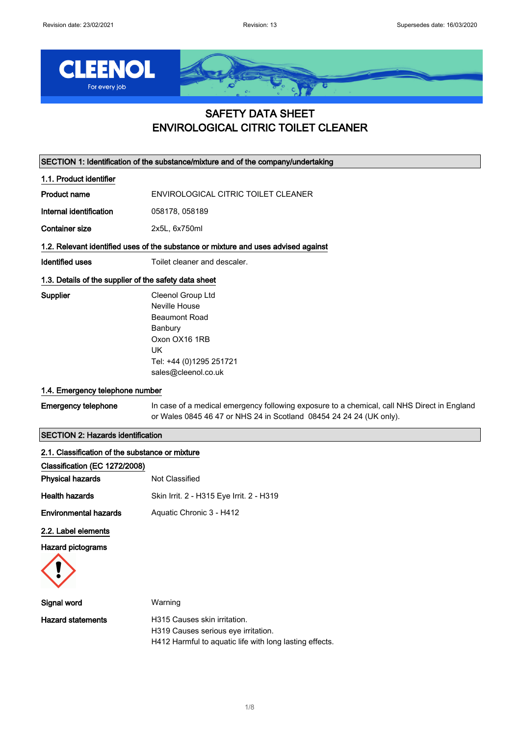

# SAFETY DATA SHEET ENVIROLOGICAL CITRIC TOILET CLEANER

SECTION 1: Identification of the substance/mixture and of the company/undertaking

1.1. Product identifier

Product name ENVIROLOGICAL CITRIC TOILET CLEANER

Internal identification 058178, 058189

Container size 2x5L, 6x750ml

### 1.2. Relevant identified uses of the substance or mixture and uses advised against

Identified uses Toilet cleaner and descaler.

# 1.3. Details of the supplier of the safety data sheet

Supplier Cleenol Group Ltd Neville House Beaumont Road Banbury Oxon OX16 1RB UK Tel: +44 (0)1295 251721 sales@cleenol.co.uk

# 1.4. Emergency telephone number

Emergency telephone In case of a medical emergency following exposure to a chemical, call NHS Direct in England or Wales 0845 46 47 or NHS 24 in Scotland 08454 24 24 24 (UK only).

# SECTION 2: Hazards identification

| 2.1. Classification of the substance or mixture |                                                                                                                                |  |
|-------------------------------------------------|--------------------------------------------------------------------------------------------------------------------------------|--|
| Classification (EC 1272/2008)                   |                                                                                                                                |  |
| <b>Physical hazards</b>                         | Not Classified                                                                                                                 |  |
| <b>Health hazards</b>                           | Skin Irrit. 2 - H315 Eye Irrit. 2 - H319                                                                                       |  |
| <b>Environmental hazards</b>                    | Aquatic Chronic 3 - H412                                                                                                       |  |
| 2.2. Label elements                             |                                                                                                                                |  |
| Hazard pictograms                               |                                                                                                                                |  |
| Signal word                                     | Warning                                                                                                                        |  |
| <b>Hazard statements</b>                        | H315 Causes skin irritation.<br>H319 Causes serious eye irritation.<br>H412 Harmful to aquatic life with long lasting effects. |  |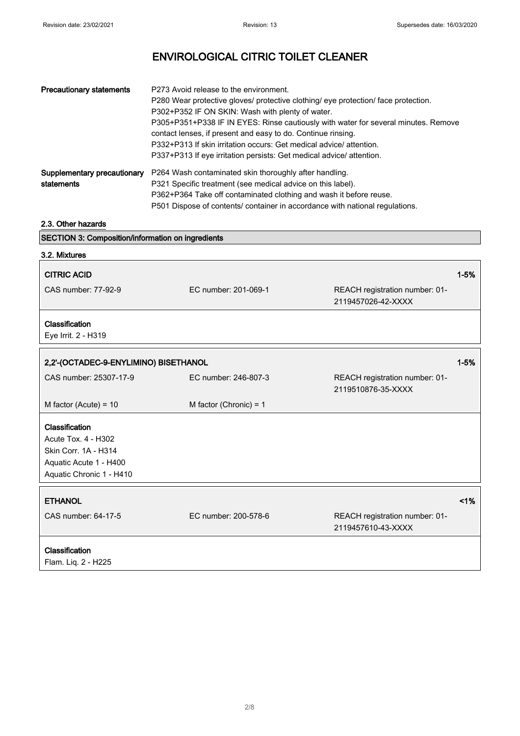| <b>Precautionary statements</b>           | P273 Avoid release to the environment.<br>P280 Wear protective gloves/ protective clothing/ eye protection/ face protection.<br>P302+P352 IF ON SKIN: Wash with plenty of water.<br>P305+P351+P338 IF IN EYES: Rinse cautiously with water for several minutes. Remove<br>contact lenses, if present and easy to do. Continue rinsing.<br>P332+P313 If skin irritation occurs: Get medical advice/ attention.<br>P337+P313 If eye irritation persists: Get medical advice/attention. |
|-------------------------------------------|--------------------------------------------------------------------------------------------------------------------------------------------------------------------------------------------------------------------------------------------------------------------------------------------------------------------------------------------------------------------------------------------------------------------------------------------------------------------------------------|
| Supplementary precautionary<br>statements | P264 Wash contaminated skin thoroughly after handling.<br>P321 Specific treatment (see medical advice on this label).<br>P362+P364 Take off contaminated clothing and wash it before reuse.<br>P501 Dispose of contents/ container in accordance with national regulations.                                                                                                                                                                                                          |

# 2.3. Other hazards

| <b>SECTION 3: Composition/information on ingredients</b>                                                            |                          |                                                      |          |
|---------------------------------------------------------------------------------------------------------------------|--------------------------|------------------------------------------------------|----------|
| 3.2. Mixtures                                                                                                       |                          |                                                      |          |
| <b>CITRIC ACID</b>                                                                                                  |                          |                                                      | $1 - 5%$ |
| CAS number: 77-92-9                                                                                                 | EC number: 201-069-1     | REACH registration number: 01-<br>2119457026-42-XXXX |          |
| Classification<br>Eye Irrit. 2 - H319                                                                               |                          |                                                      |          |
| 2,2'-(OCTADEC-9-ENYLIMINO) BISETHANOL                                                                               |                          |                                                      | $1 - 5%$ |
| CAS number: 25307-17-9                                                                                              | EC number: 246-807-3     | REACH registration number: 01-<br>2119510876-35-XXXX |          |
| M factor (Acute) = $10$                                                                                             | M factor (Chronic) = $1$ |                                                      |          |
| Classification<br>Acute Tox. 4 - H302<br>Skin Corr. 1A - H314<br>Aquatic Acute 1 - H400<br>Aquatic Chronic 1 - H410 |                          |                                                      |          |
| <b>ETHANOL</b>                                                                                                      |                          |                                                      | 1%       |
| CAS number: 64-17-5                                                                                                 | EC number: 200-578-6     | REACH registration number: 01-<br>2119457610-43-XXXX |          |
| Classification<br>Flam. Liq. 2 - H225                                                                               |                          |                                                      |          |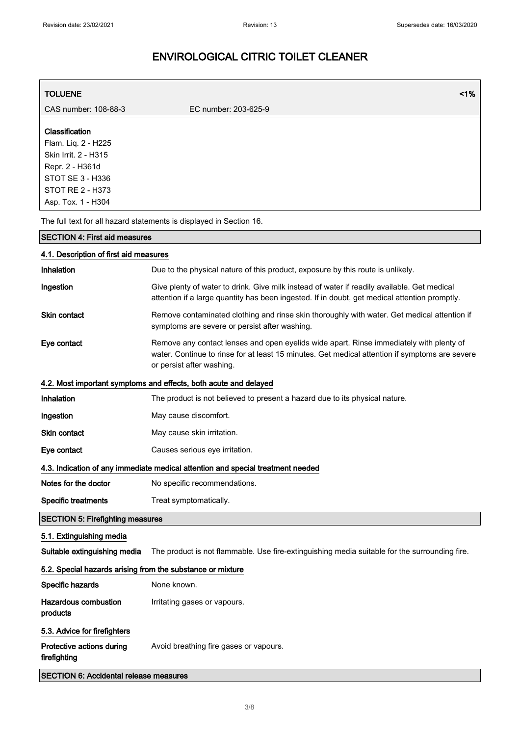| <b>TOLUENE</b>                                                                                                                                        | 1%                                                                                                                                                                                                                     |
|-------------------------------------------------------------------------------------------------------------------------------------------------------|------------------------------------------------------------------------------------------------------------------------------------------------------------------------------------------------------------------------|
| CAS number: 108-88-3                                                                                                                                  | EC number: 203-625-9                                                                                                                                                                                                   |
| Classification<br>Flam. Liq. 2 - H225<br>Skin Irrit. 2 - H315<br>Repr. 2 - H361d<br>STOT SE 3 - H336<br><b>STOT RE 2 - H373</b><br>Asp. Tox. 1 - H304 |                                                                                                                                                                                                                        |
|                                                                                                                                                       | The full text for all hazard statements is displayed in Section 16.                                                                                                                                                    |
| <b>SECTION 4: First aid measures</b>                                                                                                                  |                                                                                                                                                                                                                        |
| 4.1. Description of first aid measures                                                                                                                |                                                                                                                                                                                                                        |
| Inhalation                                                                                                                                            | Due to the physical nature of this product, exposure by this route is unlikely.                                                                                                                                        |
| Ingestion                                                                                                                                             | Give plenty of water to drink. Give milk instead of water if readily available. Get medical<br>attention if a large quantity has been ingested. If in doubt, get medical attention promptly.                           |
| Skin contact                                                                                                                                          | Remove contaminated clothing and rinse skin thoroughly with water. Get medical attention if<br>symptoms are severe or persist after washing.                                                                           |
| Eye contact                                                                                                                                           | Remove any contact lenses and open eyelids wide apart. Rinse immediately with plenty of<br>water. Continue to rinse for at least 15 minutes. Get medical attention if symptoms are severe<br>or persist after washing. |
|                                                                                                                                                       | 4.2. Most important symptoms and effects, both acute and delayed                                                                                                                                                       |
| Inhalation                                                                                                                                            | The product is not believed to present a hazard due to its physical nature.                                                                                                                                            |
| Ingestion                                                                                                                                             | May cause discomfort.                                                                                                                                                                                                  |
| <b>Skin contact</b>                                                                                                                                   | May cause skin irritation.                                                                                                                                                                                             |
| Eye contact                                                                                                                                           | Causes serious eye irritation.                                                                                                                                                                                         |
|                                                                                                                                                       | 4.3. Indication of any immediate medical attention and special treatment needed                                                                                                                                        |
| Notes for the doctor                                                                                                                                  | No specific recommendations.                                                                                                                                                                                           |
| <b>Specific treatments</b>                                                                                                                            | Treat symptomatically.                                                                                                                                                                                                 |
| <b>SECTION 5: Firefighting measures</b>                                                                                                               |                                                                                                                                                                                                                        |
| 5.1. Extinguishing media                                                                                                                              |                                                                                                                                                                                                                        |
| Suitable extinguishing media                                                                                                                          | The product is not flammable. Use fire-extinguishing media suitable for the surrounding fire.                                                                                                                          |
| 5.2. Special hazards arising from the substance or mixture                                                                                            |                                                                                                                                                                                                                        |
| Specific hazards                                                                                                                                      | None known.                                                                                                                                                                                                            |
| <b>Hazardous combustion</b><br>products                                                                                                               | Irritating gases or vapours.                                                                                                                                                                                           |
| 5.3. Advice for firefighters                                                                                                                          |                                                                                                                                                                                                                        |
| Protective actions during<br>firefighting                                                                                                             | Avoid breathing fire gases or vapours.                                                                                                                                                                                 |
| <b>SECTION 6: Accidental release measures</b>                                                                                                         |                                                                                                                                                                                                                        |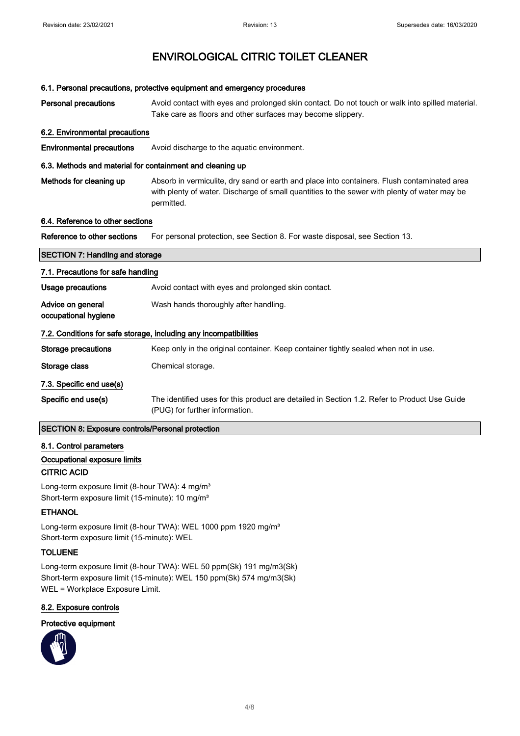#### 6.1. Personal precautions, protective equipment and emergency procedures

| <b>Personal precautions</b> | Avoid contact with eyes and prolonged skin contact. Do not touch or walk into spilled material. |  |
|-----------------------------|-------------------------------------------------------------------------------------------------|--|
|                             | Take care as floors and other surfaces may become slippery.                                     |  |

#### 6.2. Environmental precautions

Environmental precautions Avoid discharge to the aquatic environment.

#### 6.3. Methods and material for containment and cleaning up

Methods for cleaning up **Absorb in vermiculite, dry sand or earth and place into containers**. Flush contaminated area with plenty of water. Discharge of small quantities to the sewer with plenty of water may be permitted.

# 6.4. Reference to other sections

Reference to other sections For personal protection, see Section 8. For waste disposal, see Section 13.

# SECTION 7: Handling and storage 7.1. Precautions for safe handling Usage precautions **Avoid contact with eyes and prolonged skin contact.** Advice on general occupational hygiene Wash hands thoroughly after handling. 7.2. Conditions for safe storage, including any incompatibilities Storage precautions Keep only in the original container. Keep container tightly sealed when not in use. Storage class Chemical storage. 7.3. Specific end use(s) Specific end use(s) The identified uses for this product are detailed in Section 1.2. Refer to Product Use Guide (PUG) for further information.

# SECTION 8: Exposure controls/Personal protection

#### 8.1. Control parameters

# Occupational exposure limits

# CITRIC ACID

Long-term exposure limit (8-hour TWA): 4 mg/m<sup>3</sup> Short-term exposure limit (15-minute): 10 mg/m<sup>3</sup>

# **ETHANOL**

Long-term exposure limit (8-hour TWA): WEL 1000 ppm 1920 mg/m<sup>3</sup> Short-term exposure limit (15-minute): WEL

# TOLUENE

Long-term exposure limit (8-hour TWA): WEL 50 ppm(Sk) 191 mg/m3(Sk) Short-term exposure limit (15-minute): WEL 150 ppm(Sk) 574 mg/m3(Sk) WEL = Workplace Exposure Limit.

#### 8.2. Exposure controls

### Protective equipment

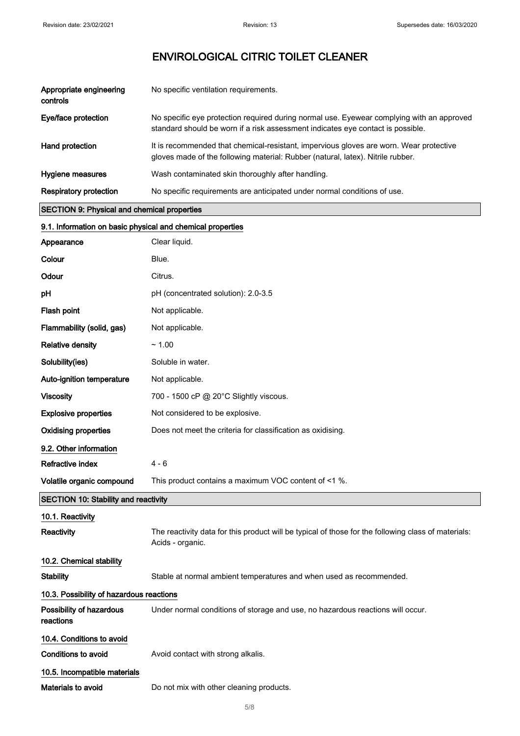| Appropriate engineering<br>controls | No specific ventilation requirements.                                                                                                                                        |
|-------------------------------------|------------------------------------------------------------------------------------------------------------------------------------------------------------------------------|
| Eye/face protection                 | No specific eye protection required during normal use. Eyewear complying with an approved<br>standard should be worn if a risk assessment indicates eye contact is possible. |
| Hand protection                     | It is recommended that chemical-resistant, impervious gloves are worn. Wear protective<br>gloves made of the following material: Rubber (natural, latex). Nitrile rubber.    |
| Hygiene measures                    | Wash contaminated skin thoroughly after handling.                                                                                                                            |
| <b>Respiratory protection</b>       | No specific requirements are anticipated under normal conditions of use.                                                                                                     |

# SECTION 9: Physical and chemical properties

| 9.1. Information on basic physical and chemical properties |                                                                                                                         |  |
|------------------------------------------------------------|-------------------------------------------------------------------------------------------------------------------------|--|
| Appearance                                                 | Clear liquid.                                                                                                           |  |
| Colour                                                     | Blue.                                                                                                                   |  |
| Odour                                                      | Citrus.                                                                                                                 |  |
| pH                                                         | pH (concentrated solution): 2.0-3.5                                                                                     |  |
| Flash point                                                | Not applicable.                                                                                                         |  |
| Flammability (solid, gas)                                  | Not applicable.                                                                                                         |  |
| <b>Relative density</b>                                    | ~1.00                                                                                                                   |  |
| Solubility(ies)                                            | Soluble in water.                                                                                                       |  |
| Auto-ignition temperature                                  | Not applicable.                                                                                                         |  |
| <b>Viscosity</b>                                           | 700 - 1500 cP @ 20°C Slightly viscous.                                                                                  |  |
| <b>Explosive properties</b>                                | Not considered to be explosive.                                                                                         |  |
| <b>Oxidising properties</b>                                | Does not meet the criteria for classification as oxidising.                                                             |  |
| 9.2. Other information                                     |                                                                                                                         |  |
| Refractive index                                           | $4 - 6$                                                                                                                 |  |
| Volatile organic compound                                  | This product contains a maximum VOC content of <1 %.                                                                    |  |
| <b>SECTION 10: Stability and reactivity</b>                |                                                                                                                         |  |
| 10.1. Reactivity                                           |                                                                                                                         |  |
| Reactivity                                                 | The reactivity data for this product will be typical of those for the following class of materials:<br>Acids - organic. |  |
| 10.2. Chemical stability                                   |                                                                                                                         |  |
| <b>Stability</b>                                           | Stable at normal ambient temperatures and when used as recommended.                                                     |  |
| 10.3. Possibility of hazardous reactions                   |                                                                                                                         |  |
| Possibility of hazardous<br>reactions                      | Under normal conditions of storage and use, no hazardous reactions will occur.                                          |  |
| 10.4. Conditions to avoid                                  |                                                                                                                         |  |
| <b>Conditions to avoid</b>                                 | Avoid contact with strong alkalis.                                                                                      |  |
| 10.5. Incompatible materials<br>Materials to avoid         | Do not mix with other cleaning products.                                                                                |  |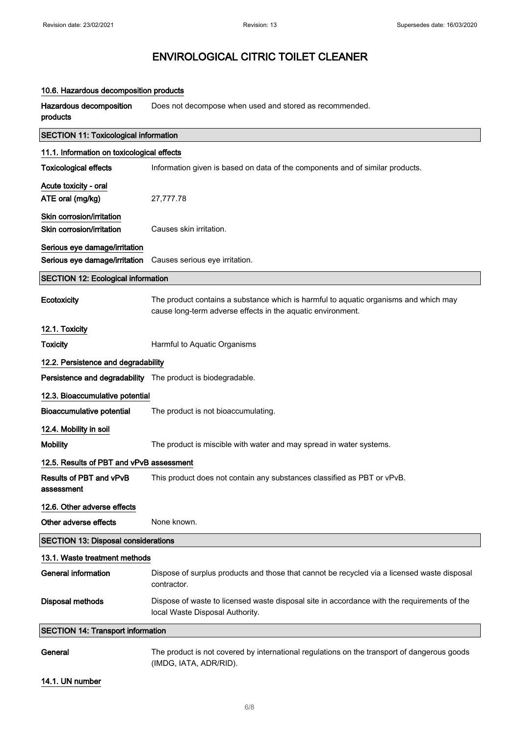### 10.6. Hazardous decomposition products

| Hazardous decomposition<br>products                         | Does not decompose when used and stored as recommended.                                                                                             |  |
|-------------------------------------------------------------|-----------------------------------------------------------------------------------------------------------------------------------------------------|--|
| <b>SECTION 11: Toxicological information</b>                |                                                                                                                                                     |  |
| 11.1. Information on toxicological effects                  |                                                                                                                                                     |  |
| <b>Toxicological effects</b>                                | Information given is based on data of the components and of similar products.                                                                       |  |
| Acute toxicity - oral                                       |                                                                                                                                                     |  |
| ATE oral (mg/kg)                                            | 27,777.78                                                                                                                                           |  |
| Skin corrosion/irritation                                   |                                                                                                                                                     |  |
| Skin corrosion/irritation                                   | Causes skin irritation.                                                                                                                             |  |
| Serious eye damage/irritation                               |                                                                                                                                                     |  |
| Serious eye damage/irritation                               | Causes serious eye irritation.                                                                                                                      |  |
| <b>SECTION 12: Ecological information</b>                   |                                                                                                                                                     |  |
| Ecotoxicity                                                 | The product contains a substance which is harmful to aquatic organisms and which may<br>cause long-term adverse effects in the aquatic environment. |  |
| 12.1. Toxicity                                              |                                                                                                                                                     |  |
| <b>Toxicity</b>                                             | Harmful to Aquatic Organisms                                                                                                                        |  |
| 12.2. Persistence and degradability                         |                                                                                                                                                     |  |
| Persistence and degradability The product is biodegradable. |                                                                                                                                                     |  |
| 12.3. Bioaccumulative potential                             |                                                                                                                                                     |  |
| <b>Bioaccumulative potential</b>                            | The product is not bioaccumulating.                                                                                                                 |  |
| 12.4. Mobility in soil                                      |                                                                                                                                                     |  |
| <b>Mobility</b>                                             | The product is miscible with water and may spread in water systems.                                                                                 |  |
| 12.5. Results of PBT and vPvB assessment                    |                                                                                                                                                     |  |
| Results of PBT and vPvB<br>assessment                       | This product does not contain any substances classified as PBT or vPvB.                                                                             |  |
| 12.6. Other adverse effects                                 |                                                                                                                                                     |  |
| Other adverse effects                                       | None known.                                                                                                                                         |  |
| <b>SECTION 13: Disposal considerations</b>                  |                                                                                                                                                     |  |
| 13.1. Waste treatment methods                               |                                                                                                                                                     |  |
| <b>General information</b>                                  | Dispose of surplus products and those that cannot be recycled via a licensed waste disposal<br>contractor.                                          |  |
| <b>Disposal methods</b>                                     | Dispose of waste to licensed waste disposal site in accordance with the requirements of the<br>local Waste Disposal Authority.                      |  |
| <b>SECTION 14: Transport information</b>                    |                                                                                                                                                     |  |
| General                                                     | The product is not covered by international regulations on the transport of dangerous goods<br>(IMDG, IATA, ADR/RID).                               |  |

# 14.1. UN number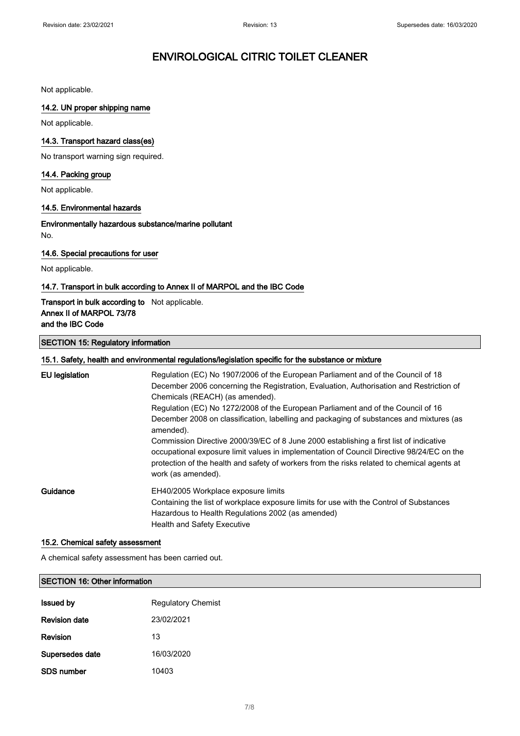Not applicable.

# 14.2. UN proper shipping name

Not applicable.

# 14.3. Transport hazard class(es)

No transport warning sign required.

# 14.4. Packing group

Not applicable.

### 14.5. Environmental hazards

Environmentally hazardous substance/marine pollutant No.

### 14.6. Special precautions for user

Not applicable.

# 14.7. Transport in bulk according to Annex II of MARPOL and the IBC Code

# Transport in bulk according to Not applicable. Annex II of MARPOL 73/78 and the IBC Code

### SECTION 15: Regulatory information

| 15.1. Safety, health and environmental regulations/legislation specific for the substance or mixture |                                                                                                                                                                                                                                                                                                          |  |
|------------------------------------------------------------------------------------------------------|----------------------------------------------------------------------------------------------------------------------------------------------------------------------------------------------------------------------------------------------------------------------------------------------------------|--|
| <b>EU</b> legislation                                                                                | Regulation (EC) No 1907/2006 of the European Parliament and of the Council of 18<br>December 2006 concerning the Registration, Evaluation, Authorisation and Restriction of<br>Chemicals (REACH) (as amended).<br>Regulation (EC) No 1272/2008 of the European Parliament and of the Council of 16       |  |
|                                                                                                      | December 2008 on classification, labelling and packaging of substances and mixtures (as<br>amended).                                                                                                                                                                                                     |  |
|                                                                                                      | Commission Directive 2000/39/EC of 8 June 2000 establishing a first list of indicative<br>occupational exposure limit values in implementation of Council Directive 98/24/EC on the<br>protection of the health and safety of workers from the risks related to chemical agents at<br>work (as amended). |  |
| Guidance                                                                                             | EH40/2005 Workplace exposure limits<br>Containing the list of workplace exposure limits for use with the Control of Substances<br>Hazardous to Health Regulations 2002 (as amended)<br><b>Health and Safety Executive</b>                                                                                |  |

### 15.2. Chemical safety assessment

A chemical safety assessment has been carried out.

### SECTION 16: Other information

| <b>Issued by</b>     | <b>Regulatory Chemist</b> |
|----------------------|---------------------------|
| <b>Revision date</b> | 23/02/2021                |
| <b>Revision</b>      | 13                        |
| Supersedes date      | 16/03/2020                |
| <b>SDS number</b>    | 10403                     |